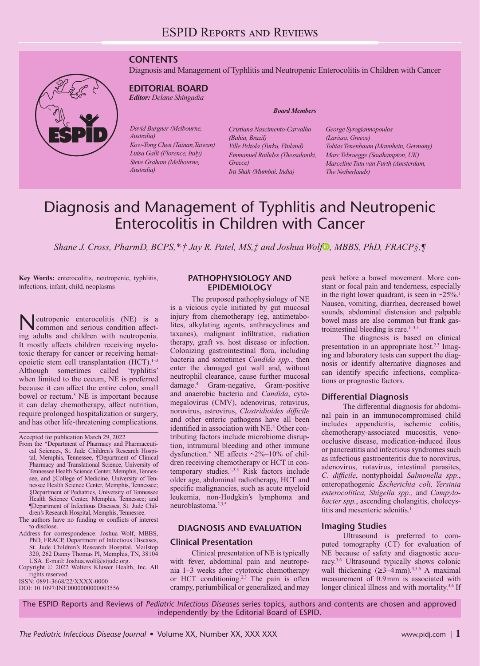# **CONTENTS**

Diagnosis and Management of Typhlitis and Neutropenic Enterocolitis in Children with Cancer



# **EDITORIAL BOARD**

*Editor: Delane Shingadia*

*David Burgner (Melbourne, Australia) Kow-Tong Chen (Tainan,Taiwan) Luisa Galli (Florence, Italy) Steve Graham (Melbourne, Australia)*

#### *Board Members*

*Cristiana Nascimento-Carvalho (Bahia, Brazil) Ville Peltola (Turku, Finland) Emmanuel Roilides (Thessaloniki, Greece) Ira Shah (Mumbai, India)*

*George Syrogiannopoulos (Larissa, Greece) Tobias Tenenbaum (Mannhein, Germany) Marc Tebruegge (Southampton, UK) Marceline Tutu van Furth (Amsterdam, The Netherlands)*

# Diagnosis and Management of Typhlitis and Neutropenic Enterocolitis in Children with Cancer

*Shane J. Cross, PharmD, BCPS,\*, † Jay R. Patel, MS,‡ and Joshua Wolf , MBBS, PhD, FRACP§,¶* 

**Key Words:** enterocolitis, neutropenic, typhlitis, infections, infant, child, neoplasms

eutropenic enterocolitis (NE) is a common and serious condition affecting adults and children with neutropenia. It mostly affects children receiving myelotoxic therapy for cancer or receiving hematopoietic stem cell transplantation  $(HCT).<sup>1–3</sup>$ Although sometimes called 'typhlitis' when limited to the cecum, NE is preferred because it can affect the entire colon, small bowel or rectum.3 NE is important because it can delay chemotherapy, affect nutrition, require prolonged hospitalization or surgery, and has other life-threatening complications.

The authors have no funding or conflicts of interest to disclose.

- Address for correspondence: Joshua Wolf, MBBS, PhD, FRACP, Department of Infectious Diseases, St. Jude Children's Research Hospital, Mailstop 320, 262 Danny Thomas Pl, Memphis, TN, 38104
- USA. E-mail: [Joshua.wolf@stjude.org](mailto:Joshua.wolf@stjude.org). Copyright © 2022 Wolters Kluwer Health, Inc. All rights reserved.

ISSN: 0891-3668/22/XXXX-0000

DOI: 10.1097/INF.0000000000003556

#### **PATHOPHYSIOLOGY AND EPIDEMIOLOGY**

The proposed pathophysiology of NE is a vicious cycle initiated by gut mucosal injury from chemotherapy (eg, antimetabolites, alkylating agents, anthracyclines and taxanes), malignant infiltration, radiation therapy, graft vs. host disease or infection. Colonizing gastrointestinal flora, including bacteria and sometimes *Candida spp.*, then enter the damaged gut wall and, without neutrophil clearance, cause further mucosal damage.4 Gram-negative, Gram-positive and anaerobic bacteria and *Candida*, cytomegalovirus (CMV), adenovirus, rotavirus, norovirus, astrovirus, *Clostridioides difficile* and other enteric pathogens have all been identified in association with NE.<sup>4</sup> Other contributing factors include microbiome disruption, intramural bleeding and other immune dysfunction.4 NE affects ~2%–10% of children receiving chemotherapy or HCT in contemporary studies.<sup>1,3,5</sup> Risk factors include older age, abdominal radiotherapy, HCT and specific malignancies, such as acute myeloid leukemia, non-Hodgkin's lymphoma and neuroblastoma.2,3,5

#### **DIAGNOSIS AND EVALUATION**

#### **Clinical Presentation**

Clinical presentation of NE is typically with fever, abdominal pain and neutropenia 1–3 weeks after cytotoxic chemotherapy or HCT conditioning.<sup>2,3</sup> The pain is often crampy, periumbilical or generalized, and may

peak before a bowel movement. More constant or focal pain and tenderness, especially in the right lower quadrant, is seen in  $\approx 25\%$ .<sup>1</sup> Nausea, vomiting, diarrhea, decreased bowel sounds, abdominal distension and palpable bowel mass are also common but frank gastrointestinal bleeding is rare. $1-3,5$ 

The diagnosis is based on clinical presentation in an appropriate host.<sup>2,3</sup> Imaging and laboratory tests can support the diagnosis or identify alternative diagnoses and can identify specific infections, complications or prognostic factors.

#### **Differential Diagnosis**

The differential diagnosis for abdominal pain in an immunocompromised child includes appendicitis, ischemic colitis, chemotherapy-associated mucositis, venoocclusive disease, medication-induced ileus or pancreatitis and infectious syndromes such as infectious gastroenteritis due to norovirus, adenovirus, rotavirus, intestinal parasites, *C. difficile*, nontyphoidal *Salmonella spp*., enteropathogenic *Escherichia coli, Yersinia enterocolitica, Shigella spp.,* and *Campylobacter spp.*, ascending cholangitis, cholecystitis and mesenteric adenitis.<sup>1</sup>

#### **Imaging Studies**

Ultrasound is preferred to computed tomography (CT) for evaluation of NE because of safety and diagnostic accuracy.3,6 Ultrasound typically shows colonic wall thickening  $(\geq 3-4$  mm).<sup>3,5,6</sup> A maximal measurement of 0.9mm is associated with longer clinical illness and with mortality.<sup>3,6</sup> If

The ESPID Reports and Reviews of *Pediatric Infectious Diseases* series topics, authors and contents are chosen and approved independently by the Editorial Board of ESPID.

Accepted for publication March 29, 2022

From the \*Department of Pharmacy and Pharmaceutical Sciences, St. Jude Children's Research Hospital, Memphis, Tennessee, †Department of Clinical Pharmacy and Translational Science, University of Tennessee Health Science Center, Memphis, Tennessee, and ‡College of Medicine, University of Tennessee Health Science Center, Memphis, Tennessee; §Department of Pediatrics, University of Tennessee Health Science Center, Memphis, Tennessee; and ¶Department of Infectious Diseases, St. Jude Children's Research Hospital, Memphis, Tennessee.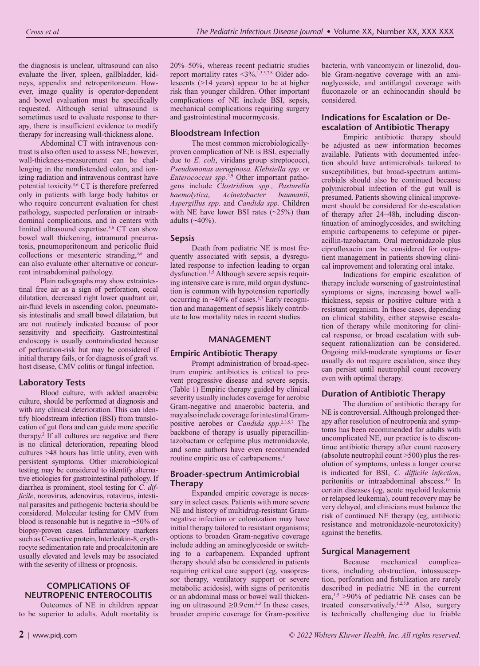the diagnosis is unclear, ultrasound can also evaluate the liver, spleen, gallbladder, kidneys, appendix and retroperitoneum. However, image quality is operator-dependent and bowel evaluation must be specifically requested. Although serial ultrasound is sometimes used to evaluate response to therapy, there is insufficient evidence to modify therapy for increasing wall-thickness alone.

Abdominal CT with intravenous contrast is also often used to assess NE; however, wall-thickness-measurement can be challenging in the nondistended colon, and ionizing radiation and intravenous contrast have potential toxicity.3,6 CT is therefore preferred only in patients with large body habitus or who require concurrent evaluation for chest pathology, suspected perforation or intraabdominal complications, and in centers with limited ultrasound expertise.3,6 CT can show bowel wall thickening, intramural pneumatosis, pneumoperitoneum and pericolic fluid collections or mesenteric stranding,<sup>3,6</sup> and can also evaluate other alternative or concurrent intraabdominal pathology.

Plain radiographs may show extraintestinal free air as a sign of perforation, cecal dilatation, decreased right lower quadrant air, air-fluid levels in ascending colon, pneumatosis intestinalis and small bowel dilatation, but are not routinely indicated because of poor sensitivity and specificity. Gastrointestinal endoscopy is usually contraindicated because of perforation-risk but may be considered if initial therapy fails, or for diagnosis of graft vs. host disease, CMV colitis or fungal infection.

# **Laboratory Tests**

Blood culture, with added anaerobic culture, should be performed at diagnosis and with any clinical deterioration. This can identify bloodstream infection (BSI) from translocation of gut flora and can guide more specific therapy.2 If all cultures are negative and there is no clinical deterioration, repeating blood cultures >48 hours has little utility, even with persistent symptoms. Other microbiological testing may be considered to identify alternative etiologies for gastrointestinal pathology. If diarrhea is prominent, stool testing for *C. difficile*, norovirus, adenovirus, rotavirus, intestinal parasites and pathogenic bacteria should be considered. Molecular testing for CMV from blood is reasonable but is negative in  $~50\%$  of biopsy-proven cases. Inflammatory markers such as C-reactive protein, Interleukin-8, erythrocyte sedimentation rate and procalcitonin are usually elevated and levels may be associated with the severity of illness or prognosis.

# **COMPLICATIONS OF NEUTROPENIC ENTEROCOLITIS**

Outcomes of NE in children appear to be superior to adults. Adult mortality is 20%–50%, whereas recent pediatric studies report mortality rates <3%.1,3,5,7,8 Older adolescents (>14 years) appear to be at higher risk than younger children. Other important complications of NE include BSI, sepsis, mechanical complications requiring surgery and gastrointestinal mucormycosis.

### **Bloodstream Infection**

The most common microbiologicallyproven complication of NE is BSI, especially due to *E. coli*, viridans group streptococci, *Pseudomonas aeruginosa, Klebsiella spp.* or *Enterococcus spp.*2,9 Other important pathogens include *Clostridium spp., Pasturella haemolytica*, *Acinetobacter baumanii*, *Aspergillus spp.* and *Candida spp.* Children with NE have lower BSI rates  $(\sim 25\%)$  than adults (~40%).

# **Sepsis**

Death from pediatric NE is most frequently associated with sepsis, a dysregulated response to infection leading to organ dysfunction.<sup>1,5</sup> Although severe sepsis requiring intensive care is rare, mild organ dysfunction is common with hypotension reportedly occurring in  $\sim$ 40% of cases.<sup>5,7</sup> Early recognition and management of sepsis likely contribute to low mortality rates in recent studies.

# **MANAGEMENT**

# **Empiric Antibiotic Therapy**

Prompt administration of broad-spectrum empiric antibiotics is critical to prevent progressive disease and severe sepsis. (Table 1) Empiric therapy guided by clinical severity usually includes coverage for aerobic Gram-negative and anaerobic bacteria, and may also include coverage for intestinal Grampositive aerobes or *Candida spp*. 2,3,5,7 The backbone of therapy is usually piperacillintazobactam or cefepime plus metronidazole, and some authors have even recommended routine empiric use of carbapenems.<sup>3</sup>

#### **Broader-spectrum Antimicrobial Therapy**

Expanded empiric coverage is necessary in select cases. Patients with more severe NE and history of multidrug-resistant Gramnegative infection or colonization may have initial therapy tailored to resistant organisms; options to broaden Gram-negative coverage include adding an aminoglycoside or switching to a carbapenem. Expanded upfront therapy should also be considered in patients requiring critical care support (eg, vasopressor therapy, ventilatory support or severe metabolic acidosis), with signs of peritonitis or an abdominal mass or bowel wall thickening on ultrasound ≥0.9 cm.<sup>2,3</sup> In these cases, broader empiric coverage for Gram-positive bacteria, with vancomycin or linezolid, double Gram-negative coverage with an aminoglycoside, and antifungal coverage with fluconazole or an echinocandin should be considered.

# **Indications for Escalation or Deescalation of Antibiotic Therapy**

Empiric antibiotic therapy should be adjusted as new information becomes available. Patients with documented infection should have antimicrobials tailored to susceptibilities, but broad-spectrum antimicrobials should also be continued because polymicrobial infection of the gut wall is presumed. Patients showing clinical improvement should be considered for de-escalation of therapy after 24–48h, including discontinuation of aminoglycosides, and switching empiric carbapenems to cefepime or piperacillin-tazobactam. Oral metronidazole plus ciprofloxacin can be considered for outpatient management in patients showing clinical improvement and tolerating oral intake.

Indications for empiric escalation of therapy include worsening of gastrointestinal symptoms or signs, increasing bowel wallthickness, sepsis or positive culture with a resistant organism. In these cases, depending on clinical stability, either stepwise escalation of therapy while monitoring for clinical response, or broad escalation with subsequent rationalization can be considered. Ongoing mild-moderate symptoms or fever usually do not require escalation, since they can persist until neutrophil count recovery even with optimal therapy.

# **Duration of Antibiotic Therapy**

The duration of antibiotic therapy for NE is controversial. Although prolonged therapy after resolution of neutropenia and symptoms has been recommended for adults with uncomplicated NE, our practice is to discontinue antibiotic therapy after count recovery (absolute neutrophil count >500) plus the resolution of symptoms, unless a longer course is indicated for BSI, *C. difficile infection*, peritonitis or intraabdominal abscess.10 In certain diseases (eg, acute myeloid leukemia or relapsed leukemia), count recovery may be very delayed, and clinicians must balance the risk of continued NE therapy (eg, antibiotic resistance and metronidazole-neurotoxicity) against the benefits.

# **Surgical Management**

Because mechanical complications, including obstruction, intussusception, perforation and fistulization are rarely described in pediatric NE in the current era,<sup>1,5</sup> >90% of pediatric NE cases can be treated conservatively.<sup>1,2,5,8</sup> Also, surgery is technically challenging due to friable